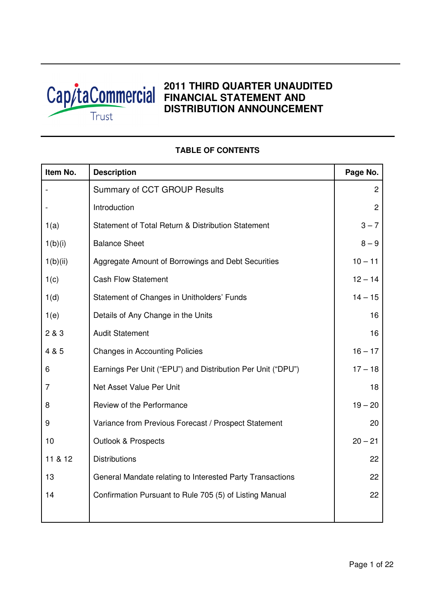

# **2011 THIRD QUARTER UNAUDITED Cap/taCommercial FINANCIAL STATEMENT AND DISTRIBUTION ANNOUNCEMENT**

# **Item No.** Description **Page No. Page No.** Summary of CCT GROUP Results **2** 2 - Introduction 2 1(a) Statement of Total Return & Distribution Statement 1 (a) 3 – 7  $1(b)(i)$  Balance Sheet 8 – 9 1(b)(ii) Aggregate Amount of Borrowings and Debt Securities 10 – 11 1(c) Cash Flow Statement 12 – 14 1(d) Statement of Changes in Unitholders' Funds 14 – 14 – 15 1(e) Details of Any Change in the Units 16 2 & 3 Audit Statement 16 4 & 5 Changes in Accounting Policies 16 – 17 6 Earnings Per Unit ("EPU") and Distribution Per Unit ("DPU") 17 – 18 7 **Net Asset Value Per Unit 18** 8 Review of the Performance **19 Figure 19 – 20** Figure 19 – 20 9 Variance from Previous Forecast / Prospect Statement 20 10 Outlook & Prospects 20 – 21 11 & 12 Distributions 22 13 **General Mandate relating to Interested Party Transactions** 13 and 22 14 Confirmation Pursuant to Rule 705 (5) of Listing Manual 22

# **TABLE OF CONTENTS**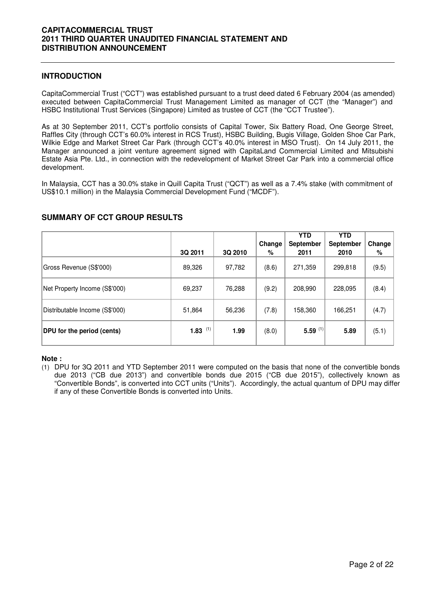## **INTRODUCTION**

CapitaCommercial Trust ("CCT") was established pursuant to a trust deed dated 6 February 2004 (as amended) executed between CapitaCommercial Trust Management Limited as manager of CCT (the "Manager") and HSBC Institutional Trust Services (Singapore) Limited as trustee of CCT (the "CCT Trustee").

As at 30 September 2011, CCT's portfolio consists of Capital Tower, Six Battery Road, One George Street, Raffles City (through CCT's 60.0% interest in RCS Trust), HSBC Building, Bugis Village, Golden Shoe Car Park, Wilkie Edge and Market Street Car Park (through CCT's 40.0% interest in MSO Trust). On 14 July 2011, the Manager announced a joint venture agreement signed with CapitaLand Commercial Limited and Mitsubishi Estate Asia Pte. Ltd., in connection with the redevelopment of Market Street Car Park into a commercial office development.

In Malaysia, CCT has a 30.0% stake in Quill Capita Trust ("QCT") as well as a 7.4% stake (with commitment of US\$10.1 million) in the Malaysia Commercial Development Fund ("MCDF").

|                                   |             |         | Change | <b>YTD</b><br>September | <b>YTD</b><br><b>September</b> | Change |
|-----------------------------------|-------------|---------|--------|-------------------------|--------------------------------|--------|
|                                   | 3Q 2011     | 3Q 2010 | %      | 2011                    | 2010                           | %      |
| Gross Revenue (S\$'000)           | 89,326      | 97,782  | (8.6)  | 271,359                 | 299,818                        | (9.5)  |
| Net Property Income (S\$'000)     | 69,237      | 76,288  | (9.2)  | 208,990                 | 228,095                        | (8.4)  |
| Distributable Income (S\$'000)    | 51,864      | 56,236  | (7.8)  | 158,360                 | 166,251                        | (4.7)  |
| <b>DPU</b> for the period (cents) | (1)<br>1.83 | 1.99    | (8.0)  | 5.59 $(1)$              | 5.89                           | (5.1)  |

# **SUMMARY OF CCT GROUP RESULTS**

#### **Note :**

(1) DPU for 3Q 2011 and YTD September 2011 were computed on the basis that none of the convertible bonds due 2013 ("CB due 2013") and convertible bonds due 2015 ("CB due 2015"), collectively known as "Convertible Bonds", is converted into CCT units ("Units"). Accordingly, the actual quantum of DPU may differ if any of these Convertible Bonds is converted into Units.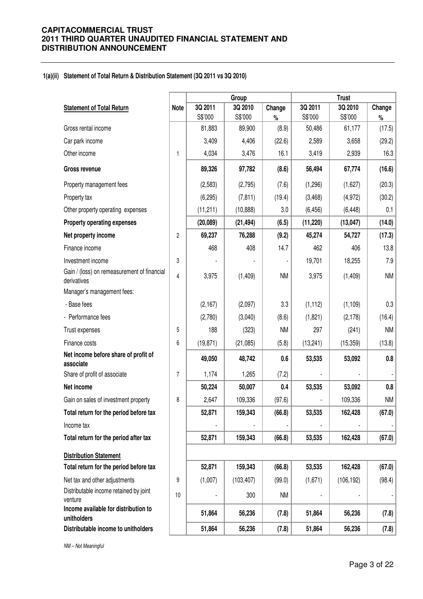#### **1(a)(ii) Statement of Total Return & Distribution Statement (3Q 2011 vs 3Q 2010)**

|                                                            |                |           | Group      |           | <b>Trust</b> |            |           |  |
|------------------------------------------------------------|----------------|-----------|------------|-----------|--------------|------------|-----------|--|
| <b>Statement of Total Return</b>                           | <b>Note</b>    | 3Q 2011   | 3Q 2010    | Change    | 3Q 2011      | 3Q 2010    | Change    |  |
|                                                            |                | S\$'000   | S\$'000    | $\%$      | S\$'000      | S\$'000    | $\%$      |  |
| Gross rental income                                        |                | 81,883    | 89,900     | (8.9)     | 50,486       | 61,177     | (17.5)    |  |
| Car park income                                            |                | 3,409     | 4,406      | (22.6)    | 2,589        | 3,658      | (29.2)    |  |
| Other income                                               | 1              | 4,034     | 3,476      | 16.1      | 3,419        | 2,939      | 16.3      |  |
| <b>Gross revenue</b>                                       |                | 89,326    | 97,782     | (8.6)     | 56,494       | 67,774     | (16.6)    |  |
| Property management fees                                   |                | (2,583)   | (2,795)    | (7.6)     | (1,296)      | (1,627)    | (20.3)    |  |
| Property tax                                               |                | (6, 295)  | (7, 811)   | (19.4)    | (3,468)      | (4, 972)   | (30.2)    |  |
| Other property operating expenses                          |                | (11, 211) | (10, 888)  | 3.0       | (6, 456)     | (6, 448)   | 0.1       |  |
| <b>Property operating expenses</b>                         |                | (20, 089) | (21, 494)  | (6.5)     | (11, 220)    | (13, 047)  | (14.0)    |  |
| Net property income                                        | $\overline{c}$ | 69,237    | 76,288     | (9.2)     | 45,274       | 54,727     | (17.3)    |  |
| Finance income                                             |                | 468       | 408        | 14.7      | 462          | 406        | 13.8      |  |
| Investment income                                          | 3              |           |            |           | 19,701       | 18,255     | $7.9$     |  |
| Gain / (loss) on remeasurement of financial<br>derivatives | 4              | 3,975     | (1, 409)   | <b>NM</b> | 3,975        | (1, 409)   | <b>NM</b> |  |
| Manager's management fees:                                 |                |           |            |           |              |            |           |  |
| - Base fees                                                |                | (2,167)   | (2,097)    | 3.3       | (1, 112)     | (1, 109)   | 0.3       |  |
| - Performance fees                                         |                | (2,780)   | (3,040)    | (8.6)     | (1,821)      | (2, 178)   | (16.4)    |  |
| Trust expenses                                             | 5              | 188       | (323)      | <b>NM</b> | 297          | (241)      | <b>NM</b> |  |
| Finance costs                                              | 6              | (19, 871) | (21,085)   | (5.8)     | (13, 241)    | (15, 359)  | (13.8)    |  |
| Net income before share of profit of<br>associate          |                | 49,050    | 48,742     | 0.6       | 53,535       | 53,092     | $0.8\,$   |  |
| Share of profit of associate                               | $\overline{7}$ | 1,174     | 1,265      | (7.2)     |              |            |           |  |
| Net income                                                 |                | 50,224    | 50,007     | 0.4       | 53,535       | 53,092     | $0.8\,$   |  |
| Gain on sales of investment property                       | 8              | 2,647     | 109,336    | (97.6)    |              | 109,336    | <b>NM</b> |  |
| Total return for the period before tax                     |                | 52,871    | 159,343    | (66.8)    | 53,535       | 162,428    | (67.0)    |  |
| Income tax                                                 |                |           |            |           |              |            |           |  |
| Total return for the period after tax                      |                | 52,871    | 159,343    | (66.8)    | 53,535       | 162,428    | (67.0)    |  |
| <b>Distribution Statement</b>                              |                |           |            |           |              |            |           |  |
| Total return for the period before tax                     |                | 52,871    | 159,343    | (66.8)    | 53,535       | 162,428    | (67.0)    |  |
| Net tax and other adjustments                              | 9              | (1,007)   | (103, 407) | (99.0)    | (1,671)      | (106, 192) | (98.4)    |  |
| Distributable income retained by joint<br>venture          | 10             |           | 300        | <b>NM</b> |              |            |           |  |
| Income available for distribution to<br>unitholders        |                | 51,864    | 56,236     | (7.8)     | 51,864       | 56,236     | (7.8)     |  |
| Distributable income to unitholders                        |                | 51,864    | 56,236     | (7.8)     | 51,864       | 56,236     | (7.8)     |  |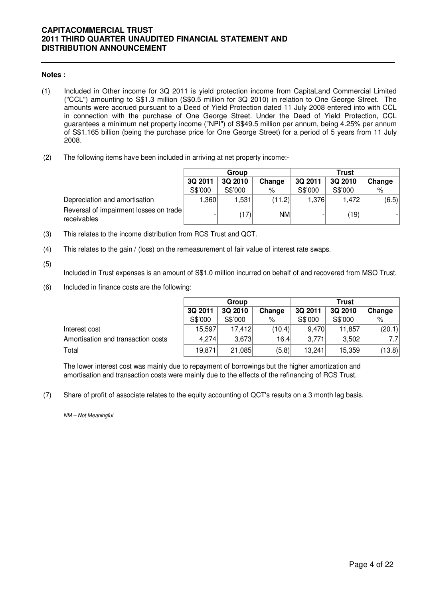#### **Notes :**

- (1) Included in Other income for 3Q 2011 is yield protection income from CapitaLand Commercial Limited ("CCL") amounting to S\$1.3 million (S\$0.5 million for 3Q 2010) in relation to One George Street. The amounts were accrued pursuant to a Deed of Yield Protection dated 11 July 2008 entered into with CCL in connection with the purchase of One George Street. Under the Deed of Yield Protection, CCL guarantees a minimum net property income ("NPI") of S\$49.5 million per annum, being 4.25% per annum of S\$1.165 billion (being the purchase price for One George Street) for a period of 5 years from 11 July 2008.
- (2) The following items have been included in arriving at net property income:-

|                                                       |                              | Group   |         | <b>Trust</b> |         |       |  |
|-------------------------------------------------------|------------------------------|---------|---------|--------------|---------|-------|--|
|                                                       | 3Q 2011<br>Change<br>3Q 2010 |         | 3Q 2011 | 3Q 2010      | Change  |       |  |
|                                                       | S\$'000                      | S\$'000 | %       | S\$'000      | S\$'000 | %     |  |
| Depreciation and amortisation                         | 360, ا                       | 1,531   | (11.2)  | 1,376        | 1,472   | (6.5) |  |
| Reversal of impairment losses on trade<br>receivables |                              | (17)    | NM      |              | (19)    |       |  |

- (3) This relates to the income distribution from RCS Trust and QCT.
- (4) This relates to the gain / (loss) on the remeasurement of fair value of interest rate swaps.
- (5)

Included in Trust expenses is an amount of S\$1.0 million incurred on behalf of and recovered from MSO Trust.

(6) Included in finance costs are the following:

|                                    |         | Group   |        | Trust   |         |        |  |
|------------------------------------|---------|---------|--------|---------|---------|--------|--|
|                                    | 3Q 2011 | 3Q 2010 | Change | 3Q 2011 | 3Q 2010 | Change |  |
|                                    | S\$'000 | S\$'000 | %      | S\$'000 | S\$'000 | %      |  |
| Interest cost                      | 15,597  | 17,412  | (10.4) | 9,470   | 11,857  | (20.1) |  |
| Amortisation and transaction costs | 4.274   | 3,673   | 16.4   | 3,771   | 3,502   | 7.7I   |  |
| Total                              | 19,871  | 21,085  | (5.8)  | 13,241  | 15,359  | (13.8) |  |

The lower interest cost was mainly due to repayment of borrowings but the higher amortization and amortisation and transaction costs were mainly due to the effects of the refinancing of RCS Trust.

(7) Share of profit of associate relates to the equity accounting of QCT's results on a 3 month lag basis.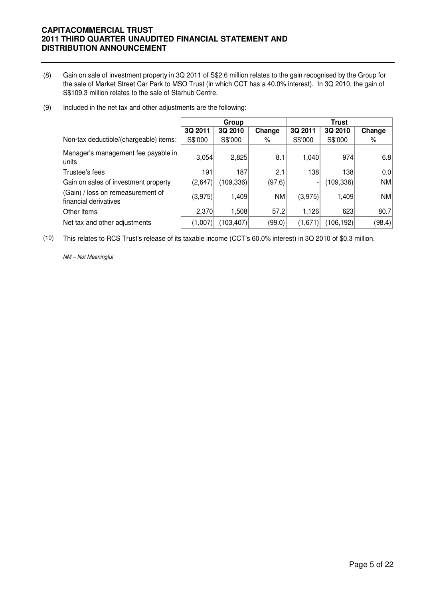- (8) Gain on sale of investment property in 3Q 2011 of S\$2.6 million relates to the gain recognised by the Group for the sale of Market Street Car Park to MSO Trust (in which CCT has a 40.0% interest). In 3Q 2010, the gain of S\$109.3 million relates to the sale of Starhub Centre.
- (9) Included in the net tax and other adjustments are the following:

|                                                            | Group   |            |        | <b>Trust</b> |            |           |  |
|------------------------------------------------------------|---------|------------|--------|--------------|------------|-----------|--|
|                                                            | 3Q 2011 | 3Q 2010    | Change | 3Q 2011      | 3Q 2010    | Change    |  |
| Non-tax deductible/(chargeable) items:                     | S\$'000 | S\$'000    | %      | S\$'000      | S\$'000    | %         |  |
| Manager's management fee payable in<br>units               | 3,054   | 2,825      | 8.1    | 1,040        | 974        | 6.8       |  |
| Trustee's fees                                             | 191     | 187        | 2.1    | 138          | 138        | 0.0       |  |
| Gain on sales of investment property                       | (2,647) | (109,336)  | (97.6) |              | (109, 336) | <b>NM</b> |  |
| (Gain) / loss on remeasurement of<br>financial derivatives | (3,975) | 1,409      | NM     | (3,975)      | 1,409      | <b>NM</b> |  |
| Other items                                                | 2,370   | 1,508      | 57.2   | 1,126        | 623        | 80.7      |  |
| Net tax and other adjustments                              | (1,007) | (103, 407) | (99.0) | (1,671)      | (106, 192) | (98.4)    |  |

(10) This relates to RCS Trust's release of its taxable income (CCT's 60.0% interest) in 3Q 2010 of \$0.3 million.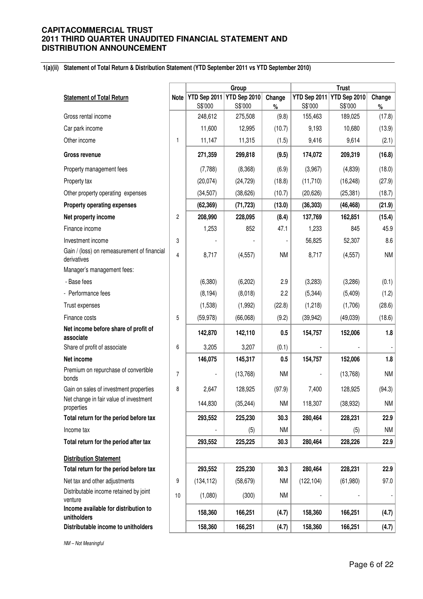#### **1(a)(ii) Statement of Total Return & Distribution Statement (YTD September 2011 vs YTD September 2010)**

|                                                            |                |              | Group        |           |            |                           |           |
|------------------------------------------------------------|----------------|--------------|--------------|-----------|------------|---------------------------|-----------|
| <b>Statement of Total Return</b>                           | Note           | YTD Sep 2011 | YTD Sep 2010 | Change    |            | YTD Sep 2011 YTD Sep 2010 | Change    |
|                                                            |                | S\$'000      | S\$'000      | $\%$      | S\$'000    | S\$'000                   | $\%$      |
| Gross rental income                                        |                | 248,612      | 275,508      | (9.8)     | 155,463    | 189,025                   | (17.8)    |
| Car park income                                            |                | 11,600       | 12,995       | (10.7)    | 9,193      | 10,680                    | (13.9)    |
| Other income                                               | $\mathbf{1}$   | 11,147       | 11,315       | (1.5)     | 9,416      | 9,614                     | (2.1)     |
| <b>Gross revenue</b>                                       |                | 271,359      | 299,818      | (9.5)     | 174,072    | 209,319                   | (16.8)    |
| Property management fees                                   |                | (7,788)      | (8,368)      | (6.9)     | (3,967)    | (4,839)                   | (18.0)    |
| Property tax                                               |                | (20, 074)    | (24, 729)    | (18.8)    | (11, 710)  | (16, 248)                 | (27.9)    |
| Other property operating expenses                          |                | (34, 507)    | (38, 626)    | (10.7)    | (20, 626)  | (25, 381)                 | (18.7)    |
| Property operating expenses                                |                | (62, 369)    | (71, 723)    | (13.0)    | (36, 303)  | (46, 468)                 | (21.9)    |
| Net property income                                        | $\overline{c}$ | 208,990      | 228,095      | (8.4)     | 137,769    | 162,851                   | (15.4)    |
| Finance income                                             |                | 1,253        | 852          | 47.1      | 1,233      | 845                       | 45.9      |
| Investment income                                          | 3              |              |              |           | 56,825     | 52,307                    | 8.6       |
| Gain / (loss) on remeasurement of financial<br>derivatives | 4              | 8,717        | (4, 557)     | <b>NM</b> | 8,717      | (4, 557)                  | <b>NM</b> |
| Manager's management fees:                                 |                |              |              |           |            |                           |           |
| - Base fees                                                |                | (6,380)      | (6, 202)     | 2.9       | (3,283)    | (3,286)                   | (0.1)     |
| - Performance fees                                         |                | (8, 194)     | (8,018)      | 2.2       | (5, 344)   | (5,409)                   | (1.2)     |
| Trust expenses                                             |                | (1,538)      | (1,992)      | (22.8)    | (1,218)    | (1,706)                   | (28.6)    |
| Finance costs                                              | 5              | (59, 978)    | (66,068)     | (9.2)     | (39, 942)  | (49,039)                  | (18.6)    |
| Net income before share of profit of<br>associate          |                | 142,870      | 142,110      | 0.5       | 154,757    | 152,006                   | 1.8       |
| Share of profit of associate                               | 6              | 3,205        | 3,207        | (0.1)     |            |                           |           |
| Net income                                                 |                | 146,075      | 145,317      | 0.5       | 154,757    | 152,006                   | 1.8       |
| Premium on repurchase of convertible<br>bonds              | $\overline{7}$ |              | (13,768)     | <b>NM</b> |            | (13,768)                  | <b>NM</b> |
| Gain on sales of investment properties                     | 8              | 2,647        | 128,925      | (97.9)    | 7,400      | 128,925                   | (94.3)    |
| Net change in fair value of investment<br>properties       |                | 144,830      | (35, 244)    | <b>NM</b> | 118,307    | (38, 932)                 | <b>NM</b> |
| Total return for the period before tax                     |                | 293,552      | 225,230      | 30.3      | 280,464    | 228,231                   | 22.9      |
| Income tax                                                 |                |              | (5)          | <b>NM</b> |            | (5)                       | <b>NM</b> |
| Total return for the period after tax                      |                | 293,552      | 225,225      | 30.3      | 280,464    | 228,226                   | 22.9      |
| <b>Distribution Statement</b>                              |                |              |              |           |            |                           |           |
| Total return for the period before tax                     |                | 293,552      | 225,230      | 30.3      | 280,464    | 228,231                   | 22.9      |
| Net tax and other adjustments                              | 9              | (134, 112)   | (58, 679)    | <b>NM</b> | (122, 104) | (61,980)                  | 97.0      |
| Distributable income retained by joint<br>venture          | 10             | (1,080)      | (300)        | <b>NM</b> |            |                           |           |
| Income available for distribution to<br>unitholders        |                | 158,360      | 166,251      | (4.7)     | 158,360    | 166,251                   | (4.7)     |
| Distributable income to unitholders                        |                | 158,360      | 166,251      | (4.7)     | 158,360    | 166,251                   | (4.7)     |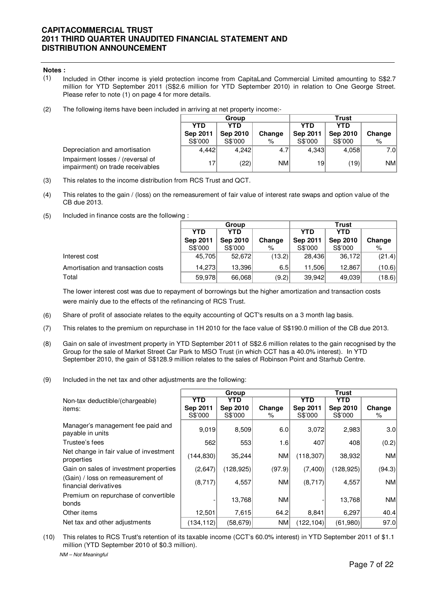#### **Notes :**

- (1) Included in Other income is yield protection income from CapitaLand Commercial Limited amounting to S\$2.7 million for YTD September 2011 (S\$2.6 million for YTD September 2010) in relation to One George Street. Please refer to note (1) on page 4 for more details.
- (2) The following items have been included in arriving at net property income:-

|          | Group    |        | Trust    |                 |           |  |
|----------|----------|--------|----------|-----------------|-----------|--|
| YTD      | YTD      |        | YTD      | YTD             |           |  |
| Sep 2011 | Sep 2010 | Change | Sep 2011 | <b>Sep 2010</b> | Change    |  |
| S\$'000  | S\$'000  | ℅      | S\$'000  | S\$'000         | %         |  |
| 4.442    | 4.242    | 4.7    | 4.343    | 4,058           | 7.0       |  |
| 17       | (22)     | NM     | 19       | (19)            | <b>NM</b> |  |

- (3) This relates to the income distribution from RCS Trust and QCT.
- (4) This relates to the gain / (loss) on the remeasurement of fair value of interest rate swaps and option value of the CB due 2013.
- (5) Included in finance costs are the following :

Depreciation and amortisation

Impairment losses / (reversal of impairment) on trade receivables

|                                    | Group                    |                 |        | <b>Trust</b>    |                 |        |  |
|------------------------------------|--------------------------|-----------------|--------|-----------------|-----------------|--------|--|
|                                    | <b>YTD</b><br><b>YTD</b> |                 |        | <b>YTD</b>      | YTD             |        |  |
|                                    | Sep 2011                 | <b>Sep 2010</b> | Change | <b>Sep 2011</b> | <b>Sep 2010</b> | Change |  |
|                                    | S\$'000                  | S\$'000         | %      | S\$'000         | S\$'000         | %      |  |
| Interest cost                      | 45.705                   | 52,672          | (13.2) | 28.436          | 36,172          | (21.4) |  |
| Amortisation and transaction costs | 14.273                   | 13,396          | 6.5    | 11.506          | 12,867          | (10.6) |  |
| Total                              | 59,978                   | 66,068          | (9.2)  | 39.942          | 49,039          | (18.6) |  |

The lower interest cost was due to repayment of borrowings but the higher amortization and transaction costs were mainly due to the effects of the refinancing of RCS Trust.

- (6) Share of profit of associate relates to the equity accounting of QCT's results on a 3 month lag basis.
- (7) This relates to the premium on repurchase in 1H 2010 for the face value of S\$190.0 million of the CB due 2013.
- (8) Gain on sale of investment property in YTD September 2011 of S\$2.6 million relates to the gain recognised by the Group for the sale of Market Street Car Park to MSO Trust (in which CCT has a 40.0% interest). In YTD September 2010, the gain of S\$128.9 million relates to the sales of Robinson Point and Starhub Centre.
- (9) Included in the net tax and other adjustments are the following:

|                                                            |                 | Group           |           | Trust      |            |           |  |
|------------------------------------------------------------|-----------------|-----------------|-----------|------------|------------|-----------|--|
| Non-tax deductible/(chargeable)                            | YTD             | YTD             |           | <b>YTD</b> | YTD        |           |  |
| items:                                                     | <b>Sep 2011</b> | <b>Sep 2010</b> | Change    | Sep 2011   | Sep 2010   | Change    |  |
|                                                            | S\$'000         | S\$'000         | %         | S\$'000    | S\$'000    | %         |  |
| Manager's management fee paid and<br>payable in units      | 9,019           | 8,509           | 6.0       | 3,072      | 2,983      | 3.0       |  |
| Trustee's fees                                             | 562             | 553             | 1.6       | 407        | 408        | (0.2)     |  |
| Net change in fair value of investment<br>properties       | (144, 830)      | 35,244          | NM        | (118, 307) | 38,932     | <b>NM</b> |  |
| Gain on sales of investment properties                     | (2,647)         | (128,925)       | (97.9)    | (7, 400)   | (128, 925) | (94.3)    |  |
| (Gain) / loss on remeasurement of<br>financial derivatives | (8,717)         | 4,557           | <b>NM</b> | (8,717)    | 4,557      | <b>NM</b> |  |
| Premium on repurchase of convertible<br>bonds              |                 | 13,768          | <b>NM</b> |            | 13,768     | <b>NM</b> |  |
| Other items                                                | 12,501          | 7,615           | 64.2      | 8,841      | 6,297      | 40.4      |  |
| Net tax and other adjustments                              | (134,112)       | (58, 679)       | <b>NM</b> | (122,104)  | (61,980)   | 97.0      |  |

 $(10)$ This relates to RCS Trust's retention of its taxable income (CCT's 60.0% interest) in YTD September 2011 of \$1.1 million (YTD September 2010 of \$0.3 million).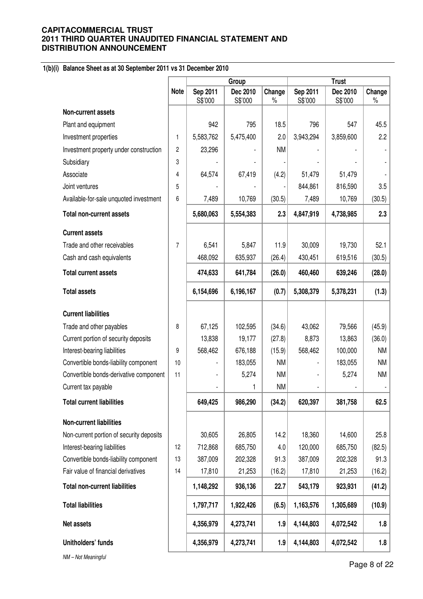# **1(b)(i) Balance Sheet as at 30 September 2011 vs 31 December 2010**

|                                          |             |                     | Group               |                |                          | <b>Trust</b>        |                |  |
|------------------------------------------|-------------|---------------------|---------------------|----------------|--------------------------|---------------------|----------------|--|
|                                          | <b>Note</b> | Sep 2011<br>S\$'000 | Dec 2010<br>S\$'000 | Change<br>$\%$ | Sep 2011<br>S\$'000      | Dec 2010<br>S\$'000 | Change<br>$\%$ |  |
| <b>Non-current assets</b>                |             |                     |                     |                |                          |                     |                |  |
| Plant and equipment                      |             | 942                 | 795                 | 18.5           | 796                      | 547                 | 45.5           |  |
| Investment properties                    | 1           | 5,583,762           | 5,475,400           | 2.0            | 3,943,294                | 3,859,600           | 2.2            |  |
| Investment property under construction   | 2           | 23,296              |                     | <b>NM</b>      |                          |                     |                |  |
| Subsidiary                               | 3           |                     |                     |                |                          |                     |                |  |
| Associate                                | 4           | 64,574              | 67,419              | (4.2)          | 51,479                   | 51,479              |                |  |
| Joint ventures                           | 5           |                     |                     |                | 844,861                  | 816,590             | 3.5            |  |
| Available-for-sale unquoted investment   | 6           | 7,489               | 10,769              | (30.5)         | 7,489                    | 10,769              | (30.5)         |  |
| <b>Total non-current assets</b>          |             | 5,680,063           | 5,554,383           | 2.3            | 4,847,919                | 4,738,985           | 2.3            |  |
| <b>Current assets</b>                    |             |                     |                     |                |                          |                     |                |  |
| Trade and other receivables              | 7           | 6,541               | 5,847               | 11.9           | 30,009                   | 19,730              | 52.1           |  |
| Cash and cash equivalents                |             | 468,092             | 635,937             | (26.4)         | 430,451                  | 619,516             | (30.5)         |  |
| <b>Total current assets</b>              |             | 474,633             | 641,784             | (26.0)         | 460,460                  | 639,246             | (28.0)         |  |
| <b>Total assets</b>                      |             | 6,154,696           | 6,196,167           | (0.7)          | 5,308,379                | 5,378,231           | (1.3)          |  |
| <b>Current liabilities</b>               |             |                     |                     |                |                          |                     |                |  |
| Trade and other payables                 | 8           | 67,125              | 102,595             | (34.6)         | 43,062                   | 79,566              | (45.9)         |  |
| Current portion of security deposits     |             | 13,838              | 19,177              | (27.8)         | 8,873                    | 13,863              | (36.0)         |  |
| Interest-bearing liabilities             | 9           | 568,462             | 676,188             | (15.9)         | 568,462                  | 100,000             | <b>NM</b>      |  |
| Convertible bonds-liability component    | 10          |                     | 183,055             | <b>NM</b>      |                          | 183,055             | <b>NM</b>      |  |
| Convertible bonds-derivative component   | 11          |                     | 5,274               | <b>NM</b>      | $\overline{\phantom{a}}$ | 5,274               | <b>NM</b>      |  |
| Current tax payable                      |             |                     |                     | <b>NM</b>      | $\overline{\phantom{a}}$ |                     |                |  |
| <b>Total current liabilities</b>         |             | 649,425             | 986,290             | (34.2)         | 620,397                  | 381,758             | 62.5           |  |
| <b>Non-current liabilities</b>           |             |                     |                     |                |                          |                     |                |  |
| Non-current portion of security deposits |             | 30,605              | 26,805              | 14.2           | 18,360                   | 14,600              | 25.8           |  |
| Interest-bearing liabilities             | 12          | 712,868             | 685,750             | 4.0            | 120,000                  | 685,750             | (82.5)         |  |
| Convertible bonds-liability component    | 13          | 387,009             | 202,328             | 91.3           | 387,009                  | 202,328             | 91.3           |  |
| Fair value of financial derivatives      | 14          | 17,810              | 21,253              | (16.2)         | 17,810                   | 21,253              | (16.2)         |  |
| <b>Total non-current liabilities</b>     |             | 1,148,292           | 936,136             | 22.7           | 543,179                  | 923,931             | (41.2)         |  |
| <b>Total liabilities</b>                 |             | 1,797,717           | 1,922,426           | (6.5)          | 1,163,576                | 1,305,689           | (10.9)         |  |
| Net assets                               |             | 4,356,979           | 4,273,741           | 1.9            | 4,144,803                | 4,072,542           | 1.8            |  |
| Unitholders' funds                       |             | 4,356,979           | 4,273,741           | 1.9            | 4,144,803                | 4,072,542           | 1.8            |  |
| NM-Not Meaningful                        |             |                     |                     |                |                          |                     |                |  |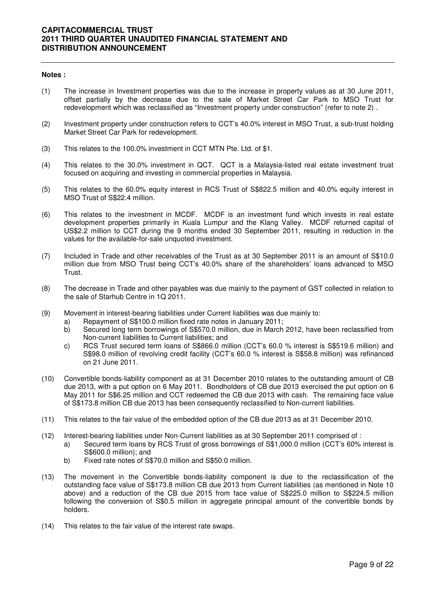#### **Notes :**

- (1) The increase in Investment properties was due to the increase in property values as at 30 June 2011, offset partially by the decrease due to the sale of Market Street Car Park to MSO Trust for redevelopment which was reclassified as "Investment property under construction" (refer to note 2) .
- (2) Investment property under construction refers to CCT's 40.0% interest in MSO Trust, a sub-trust holding Market Street Car Park for redevelopment.
- (3) This relates to the 100.0% investment in CCT MTN Pte. Ltd. of \$1.
- (4) This relates to the 30.0% investment in QCT. QCT is a Malaysia-listed real estate investment trust focused on acquiring and investing in commercial properties in Malaysia.
- (5) This relates to the 60.0% equity interest in RCS Trust of S\$822.5 million and 40.0% equity interest in MSO Trust of S\$22.4 million.
- (6) This relates to the investment in MCDF. MCDF is an investment fund which invests in real estate development properties primarily in Kuala Lumpur and the Klang Valley. MCDF returned capital of US\$2.2 million to CCT during the 9 months ended 30 September 2011, resulting in reduction in the values for the available-for-sale unquoted investment.
- (7) Included in Trade and other receivables of the Trust as at 30 September 2011 is an amount of S\$10.0 million due from MSO Trust being CCT's 40.0% share of the shareholders' loans advanced to MSO Trust.
- (8) The decrease in Trade and other payables was due mainly to the payment of GST collected in relation to the sale of Starhub Centre in 1Q 2011.
- (9) Movement in interest-bearing liabilities under Current liabilities was due mainly to:
	- a) Repayment of S\$100.0 million fixed rate notes in January 2011;
	- b) Secured long term borrowings of S\$570.0 million, due in March 2012, have been reclassified from Non-current liabilities to Current liabilities; and
	- c) RCS Trust secured term loans of S\$866.0 million (CCT's 60.0 % interest is S\$519.6 million) and S\$98.0 million of revolving credit facility (CCT's 60.0 % interest is S\$58.8 million) was refinanced on 21 June 2011.
- (10) Convertible bonds-liability component as at 31 December 2010 relates to the outstanding amount of CB due 2013, with a put option on 6 May 2011. Bondholders of CB due 2013 exercised the put option on 6 May 2011 for S\$6.25 million and CCT redeemed the CB due 2013 with cash. The remaining face value of S\$173.8 million CB due 2013 has been consequently reclassified to Non-current liabilities.
- (11) This relates to the fair value of the embedded option of the CB due 2013 as at 31 December 2010.
- (12) Interest-bearing liabilities under Non-Current liabilities as at 30 September 2011 comprised of :
	- a) Secured term loans by RCS Trust of gross borrowings of S\$1,000.0 million (CCT's 60% interest is S\$600.0 million); and
	- b) Fixed rate notes of S\$70.0 million and S\$50.0 million.
- (13) The movement in the Convertible bonds-liability component is due to the reclassification of the outstanding face value of S\$173.8 million CB due 2013 from Current liabilities (as mentioned in Note 10 above) and a reduction of the CB due 2015 from face value of S\$225.0 million to S\$224.5 million following the conversion of S\$0.5 million in aggregate principal amount of the convertible bonds by holders.
- (14) This relates to the fair value of the interest rate swaps.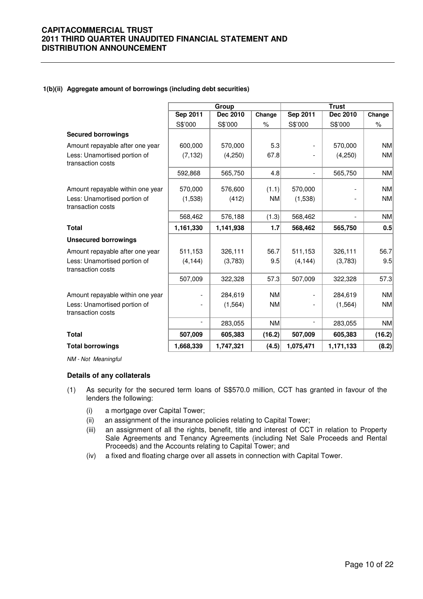#### **1(b)(ii) Aggregate amount of borrowings (including debt securities)**

|                                                   |                          | Group     |               | <b>Trust</b>    |                          |           |  |
|---------------------------------------------------|--------------------------|-----------|---------------|-----------------|--------------------------|-----------|--|
|                                                   | Sep 2011                 | Dec 2010  | Change        | <b>Sep 2011</b> | Dec 2010                 | Change    |  |
|                                                   | S\$'000                  | S\$'000   | $\frac{9}{6}$ | S\$'000         | S\$'000                  | $\%$      |  |
| <b>Secured borrowings</b>                         |                          |           |               |                 |                          |           |  |
| Amount repayable after one year                   | 600,000                  | 570,000   | 5.3           |                 | 570,000                  | <b>NM</b> |  |
| Less: Unamortised portion of<br>transaction costs | (7, 132)                 | (4,250)   | 67.8          |                 | (4,250)                  | <b>NM</b> |  |
|                                                   | 592,868                  | 565,750   | 4.8           |                 | 565,750                  | NM        |  |
| Amount repayable within one year                  | 570,000                  | 576,600   | (1.1)         | 570,000         |                          | <b>NM</b> |  |
| Less: Unamortised portion of<br>transaction costs | (1,538)                  | (412)     | <b>NM</b>     | (1,538)         | $\overline{\phantom{a}}$ | <b>NM</b> |  |
|                                                   | 568,462                  | 576,188   | (1.3)         | 568,462         |                          | NM        |  |
| <b>Total</b>                                      | 1,161,330                | 1,141,938 | 1.7           | 568,462         | 565,750                  | 0.5       |  |
| <b>Unsecured borrowings</b>                       |                          |           |               |                 |                          |           |  |
| Amount repayable after one year                   | 511,153                  | 326,111   | 56.7          | 511,153         | 326,111                  | 56.7      |  |
| Less: Unamortised portion of<br>transaction costs | (4, 144)                 | (3,783)   | 9.5           | (4, 144)        | (3,783)                  | 9.5       |  |
|                                                   | 507,009                  | 322,328   | 57.3          | 507,009         | 322,328                  | 57.3      |  |
| Amount repayable within one year                  |                          | 284,619   | <b>NM</b>     |                 | 284.619                  | <b>NM</b> |  |
| Less: Unamortised portion of<br>transaction costs |                          | (1, 564)  | <b>NM</b>     |                 | (1, 564)                 | NM        |  |
|                                                   | $\overline{\phantom{a}}$ | 283,055   | <b>NM</b>     |                 | 283,055                  | NM        |  |
| <b>Total</b>                                      | 507,009                  | 605,383   | (16.2)        | 507,009         | 605,383                  | (16.2)    |  |
| <b>Total borrowings</b>                           | 1,668,339                | 1,747,321 | (4.5)         | 1,075,471       | 1,171,133                | (8.2)     |  |

NM - Not Meaningful

#### **Details of any collaterals**

- (1) As security for the secured term loans of S\$570.0 million, CCT has granted in favour of the lenders the following:
	- (i) a mortgage over Capital Tower;
	- (ii) an assignment of the insurance policies relating to Capital Tower;
	- (iii) an assignment of all the rights, benefit, title and interest of CCT in relation to Property Sale Agreements and Tenancy Agreements (including Net Sale Proceeds and Rental Proceeds) and the Accounts relating to Capital Tower; and
	- (iv) a fixed and floating charge over all assets in connection with Capital Tower.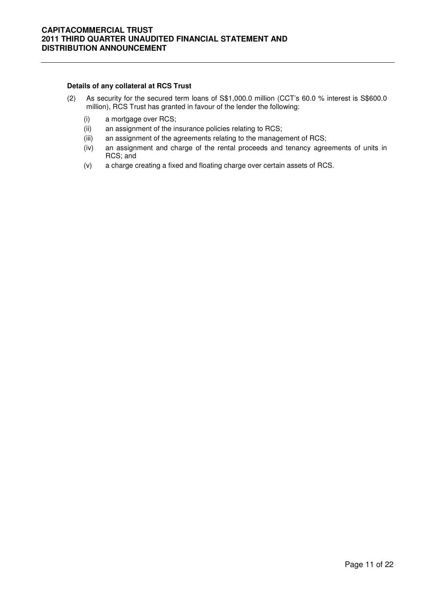#### **Details of any collateral at RCS Trust**

- (2) As security for the secured term loans of S\$1,000.0 million (CCT's 60.0 % interest is S\$600.0 million), RCS Trust has granted in favour of the lender the following:
	- (i) a mortgage over RCS;
	- (ii) an assignment of the insurance policies relating to RCS;
	- (iii) an assignment of the agreements relating to the management of RCS;
	- (iv) an assignment and charge of the rental proceeds and tenancy agreements of units in RCS; and
	- (v) a charge creating a fixed and floating charge over certain assets of RCS.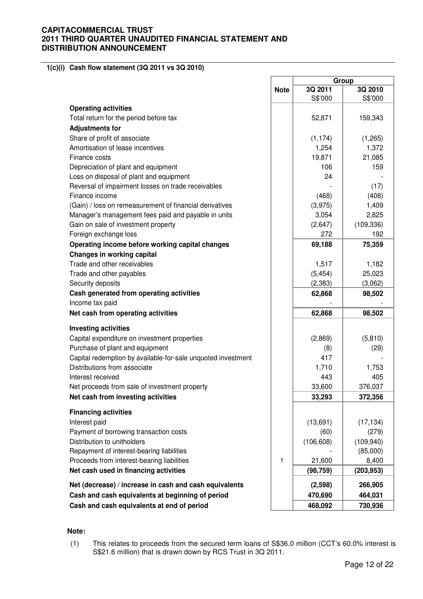**1(c)(i) Cash flow statement (3Q 2011 vs 3Q 2010)** 

|                                                              |             | Group              |                    |  |  |
|--------------------------------------------------------------|-------------|--------------------|--------------------|--|--|
|                                                              | <b>Note</b> | 3Q 2011<br>S\$'000 | 3Q 2010<br>S\$'000 |  |  |
| <b>Operating activities</b>                                  |             |                    |                    |  |  |
| Total return for the period before tax                       |             | 52,871             | 159,343            |  |  |
| <b>Adjustments for</b>                                       |             |                    |                    |  |  |
| Share of profit of associate                                 |             | (1, 174)           | (1,265)            |  |  |
| Amortisation of lease incentives                             |             | 1,254              | 1,372              |  |  |
| Finance costs                                                |             | 19,871             | 21,085             |  |  |
| Depreciation of plant and equipment                          |             | 106                | 159                |  |  |
| Loss on disposal of plant and equipment                      |             | 24                 |                    |  |  |
| Reversal of impairment losses on trade receivables           |             |                    | (17)               |  |  |
| Finance income                                               |             | (468)              | (408)              |  |  |
| (Gain) / loss on remeasurement of financial derivatives      |             | (3,975)            | 1,409              |  |  |
| Manager's management fees paid and payable in units          |             | 3,054              | 2,825              |  |  |
| Gain on sale of investment property                          |             | (2,647)            | (109, 336)         |  |  |
| Foreign exchange loss                                        |             | 272                | 192                |  |  |
| Operating income before working capital changes              |             | 69,188             | 75,359             |  |  |
| <b>Changes in working capital</b>                            |             |                    |                    |  |  |
| Trade and other receivables                                  |             | 1,517              | 1,182              |  |  |
| Trade and other payables                                     |             | (5, 454)           | 25,023             |  |  |
| Security deposits                                            |             | (2, 383)           | (3,062)            |  |  |
| Cash generated from operating activities                     |             | 62,868             | 98,502             |  |  |
| Income tax paid                                              |             |                    |                    |  |  |
| Net cash from operating activities                           |             | 62,868             | 98,502             |  |  |
| <b>Investing activities</b>                                  |             |                    |                    |  |  |
| Capital expenditure on investment properties                 |             | (2,869)            | (5,810)            |  |  |
| Purchase of plant and equipment                              |             | (8)                | (29)               |  |  |
| Capital redemption by available-for-sale unquoted investment |             | 417                |                    |  |  |
| Distributions from associate                                 |             | 1,710              | 1,753              |  |  |
| Interest received                                            |             | 443                | 405                |  |  |
| Net proceeds from sale of investment property                |             | 33,600             | 376,037            |  |  |
| Net cash from investing activities                           |             | 33,293             | 372,356            |  |  |
| <b>Financing activities</b>                                  |             |                    |                    |  |  |
| Interest paid                                                |             | (13,691)           | (17, 134)          |  |  |
| Payment of borrowing transaction costs                       |             | (60)               | (279)              |  |  |
| Distribution to unitholders                                  |             | (106, 608)         | (109, 940)         |  |  |
| Repayment of interest-bearing liabilities                    |             |                    | (85,000)           |  |  |
| Proceeds from interest-bearing liabilities                   | 1           | 21,600             | 8,400              |  |  |
| Net cash used in financing activities                        |             | (98, 759)          | (203, 953)         |  |  |
| Net (decrease) / increase in cash and cash equivalents       |             | (2,598)            | 266,905            |  |  |
| Cash and cash equivalents at beginning of period             |             | 470,690            | 464,031            |  |  |
| Cash and cash equivalents at end of period                   |             | 468,092            | 730,936            |  |  |

#### **Note:**

(1) This relates to proceeds from the secured term loans of S\$36.0 million (CCT's 60.0% interest is S\$21.6 million) that is drawn down by RCS Trust in 3Q 2011.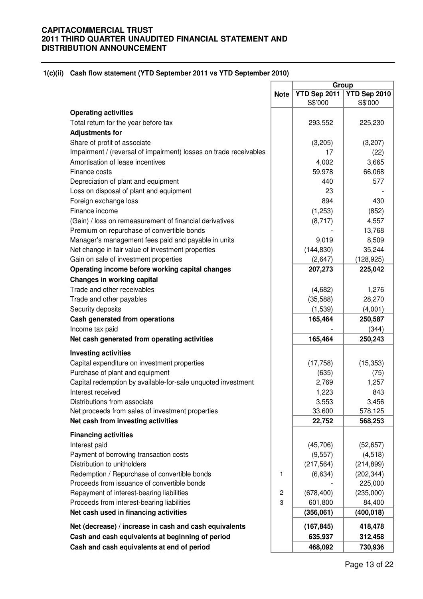#### **1(c)(ii) Cash flow statement (YTD September 2011 vs YTD September 2010)**

|                                                                   |                | Group        |              |
|-------------------------------------------------------------------|----------------|--------------|--------------|
|                                                                   | <b>Note</b>    | YTD Sep 2011 | YTD Sep 2010 |
|                                                                   |                | S\$'000      | S\$'000      |
| <b>Operating activities</b>                                       |                |              |              |
| Total return for the year before tax                              |                | 293,552      | 225,230      |
| <b>Adjustments for</b>                                            |                |              |              |
| Share of profit of associate                                      |                | (3,205)      | (3,207)      |
| Impairment / (reversal of impairment) losses on trade receivables |                | 17           | (22)         |
| Amortisation of lease incentives                                  |                | 4,002        | 3,665        |
| Finance costs                                                     |                | 59,978       | 66,068       |
| Depreciation of plant and equipment                               |                | 440          | 577          |
| Loss on disposal of plant and equipment                           |                | 23           |              |
| Foreign exchange loss                                             |                | 894          | 430          |
| Finance income                                                    |                | (1,253)      | (852)        |
| (Gain) / loss on remeasurement of financial derivatives           |                | (8,717)      | 4,557        |
| Premium on repurchase of convertible bonds                        |                |              | 13,768       |
| Manager's management fees paid and payable in units               |                | 9,019        | 8,509        |
| Net change in fair value of investment properties                 |                | (144, 830)   | 35,244       |
| Gain on sale of investment properties                             |                | (2,647)      | (128, 925)   |
| Operating income before working capital changes                   |                | 207,273      | 225,042      |
| <b>Changes in working capital</b>                                 |                |              |              |
| Trade and other receivables                                       |                | (4,682)      | 1,276        |
| Trade and other payables                                          |                | (35,588)     | 28,270       |
| Security deposits                                                 |                | (1,539)      | (4,001)      |
| Cash generated from operations                                    |                | 165,464      | 250,587      |
| Income tax paid                                                   |                |              | (344)        |
| Net cash generated from operating activities                      |                | 165,464      | 250,243      |
| <b>Investing activities</b>                                       |                |              |              |
| Capital expenditure on investment properties                      |                | (17, 758)    | (15, 353)    |
| Purchase of plant and equipment                                   |                | (635)        | (75)         |
| Capital redemption by available-for-sale unquoted investment      |                | 2,769        | 1,257        |
| Interest received                                                 |                | 1,223        | 843          |
| Distributions from associate                                      |                | 3,553        | 3,456        |
| Net proceeds from sales of investment properties                  |                | 33,600       | 578,125      |
| Net cash from investing activities                                |                | 22,752       | 568,253      |
|                                                                   |                |              |              |
| <b>Financing activities</b>                                       |                |              |              |
| Interest paid                                                     |                | (45,706)     | (52, 657)    |
| Payment of borrowing transaction costs                            |                | (9, 557)     | (4, 518)     |
| Distribution to unitholders                                       |                | (217, 564)   | (214, 899)   |
| Redemption / Repurchase of convertible bonds                      | 1              | (6,634)      | (202, 344)   |
| Proceeds from issuance of convertible bonds                       |                |              | 225,000      |
| Repayment of interest-bearing liabilities                         | $\overline{c}$ | (678, 400)   | (235,000)    |
| Proceeds from interest-bearing liabilities                        | 3              | 601,800      | 84,400       |
| Net cash used in financing activities                             |                | (356,061)    | (400, 018)   |
| Net (decrease) / increase in cash and cash equivalents            |                | (167, 845)   | 418,478      |
| Cash and cash equivalents at beginning of period                  |                | 635,937      | 312,458      |
| Cash and cash equivalents at end of period                        |                | 468,092      | 730,936      |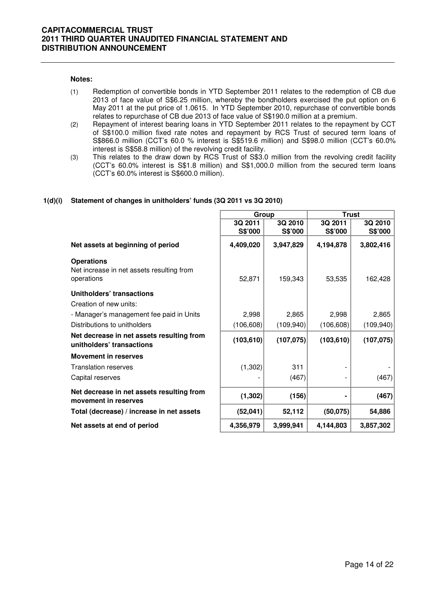#### **Notes:**

- (1) Redemption of convertible bonds in YTD September 2011 relates to the redemption of CB due 2013 of face value of S\$6.25 million, whereby the bondholders exercised the put option on 6 May 2011 at the put price of 1.0615. In YTD September 2010, repurchase of convertible bonds relates to repurchase of CB due 2013 of face value of S\$190.0 million at a premium.
- (2) Repayment of interest bearing loans in YTD September 2011 relates to the repayment by CCT of S\$100.0 million fixed rate notes and repayment by RCS Trust of secured term loans of S\$866.0 million (CCT's 60.0 % interest is S\$519.6 million) and S\$98.0 million (CCT's 60.0% interest is S\$58.8 million) of the revolving credit facility.
- (3) This relates to the draw down by RCS Trust of S\$3.0 million from the revolving credit facility (CCT's 60.0% interest is S\$1.8 million) and S\$1,000.0 million from the secured term loans (CCT's 60.0% interest is S\$600.0 million).

#### **1(d)(i) Statement of changes in unitholders' funds (3Q 2011 vs 3Q 2010)**

|                                                                              |            | Group      | <b>Trust</b> |            |
|------------------------------------------------------------------------------|------------|------------|--------------|------------|
|                                                                              | 3Q 2011    | 3Q 2010    | 3Q 2011      | 3Q 2010    |
|                                                                              | S\$'000    | S\$'000    | S\$'000      | S\$'000    |
| Net assets at beginning of period                                            | 4,409,020  | 3,947,829  | 4,194,878    | 3,802,416  |
| <b>Operations</b><br>Net increase in net assets resulting from<br>operations | 52,871     | 159,343    | 53,535       | 162,428    |
| Unitholders' transactions<br>Creation of new units:                          |            |            |              |            |
| - Manager's management fee paid in Units                                     | 2,998      | 2,865      | 2,998        | 2,865      |
| Distributions to unitholders                                                 | (106, 608) | (109, 940) | (106, 608)   | (109, 940) |
| Net decrease in net assets resulting from<br>unitholders' transactions       | (103, 610) | (107, 075) | (103, 610)   | (107, 075) |
| <b>Movement in reserves</b>                                                  |            |            |              |            |
| <b>Translation reserves</b>                                                  | (1, 302)   | 311        |              |            |
| Capital reserves                                                             |            | (467)      |              | (467)      |
| Net decrease in net assets resulting from<br>movement in reserves            | (1, 302)   | (156)      |              | (467)      |
| Total (decrease) / increase in net assets                                    | (52,041)   | 52,112     | (50,075)     | 54,886     |
| Net assets at end of period                                                  | 4,356,979  | 3,999,941  | 4,144,803    | 3,857,302  |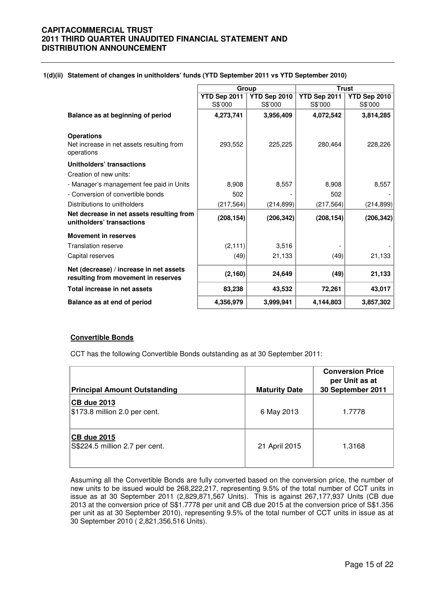|  |  | 1(d)(ii) Statement of changes in unitholders' funds (YTD September 2011 vs YTD September 2010) |  |  |
|--|--|------------------------------------------------------------------------------------------------|--|--|
|--|--|------------------------------------------------------------------------------------------------|--|--|

|                                                                                | Group        |              | <b>Trust</b> |              |
|--------------------------------------------------------------------------------|--------------|--------------|--------------|--------------|
|                                                                                | YTD Sep 2011 | YTD Sep 2010 | YTD Sep 2011 | YTD Sep 2010 |
|                                                                                | S\$'000      | S\$'000      | S\$'000      | S\$'000      |
| Balance as at beginning of period                                              | 4,273,741    | 3,956,409    | 4,072,542    | 3,814,285    |
| <b>Operations</b>                                                              |              |              |              |              |
| Net increase in net assets resulting from<br>operations                        | 293,552      | 225,225      | 280,464      | 228,226      |
| Unitholders' transactions                                                      |              |              |              |              |
| Creation of new units:                                                         |              |              |              |              |
| - Manager's management fee paid in Units                                       | 8,908        | 8,557        | 8,908        | 8,557        |
| - Conversion of convertible bonds                                              | 502          |              | 502          |              |
| Distributions to unitholders                                                   | (217, 564)   | (214, 899)   | (217, 564)   | (214, 899)   |
| Net decrease in net assets resulting from<br>unitholders' transactions         | (208, 154)   | (206, 342)   | (208, 154)   | (206, 342)   |
| <b>Movement in reserves</b>                                                    |              |              |              |              |
| <b>Translation reserve</b>                                                     | (2, 111)     | 3,516        |              |              |
| Capital reserves                                                               | (49)         | 21,133       | (49)         | 21,133       |
| Net (decrease) / increase in net assets<br>resulting from movement in reserves | (2, 160)     | 24,649       | (49)         | 21,133       |
| Total increase in net assets                                                   | 83,238       | 43,532       | 72,261       | 43,017       |
| Balance as at end of period                                                    | 4,356,979    | 3,999,941    | 4,144,803    | 3,857,302    |

#### **Convertible Bonds**

CCT has the following Convertible Bonds outstanding as at 30 September 2011:

| <b>Principal Amount Outstanding</b>                  | <b>Maturity Date</b> | <b>Conversion Price</b><br>per Unit as at<br>30 September 2011 |
|------------------------------------------------------|----------------------|----------------------------------------------------------------|
| <b>CB due 2013</b><br>\$173.8 million 2.0 per cent.  | 6 May 2013           | 1.7778                                                         |
| <b>CB due 2015</b><br>S\$224.5 million 2.7 per cent. | 21 April 2015        | 1.3168                                                         |

 Assuming all the Convertible Bonds are fully converted based on the conversion price, the number of new units to be issued would be 268,222,217, representing 9.5% of the total number of CCT units in issue as at 30 September 2011 (2,829,871,567 Units). This is against 267,177,937 Units (CB due 2013 at the conversion price of S\$1.7778 per unit and CB due 2015 at the conversion price of S\$1.356 per unit as at 30 September 2010), representing 9.5% of the total number of CCT units in issue as at 30 September 2010 ( 2,821,356,516 Units).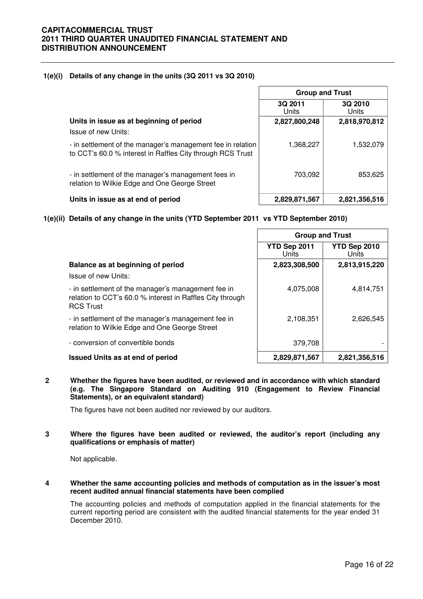## **1(e)(i) Details of any change in the units (3Q 2011 vs 3Q 2010)**

|                                                                                                                           | <b>Group and Trust</b>  |                  |  |
|---------------------------------------------------------------------------------------------------------------------------|-------------------------|------------------|--|
|                                                                                                                           | <b>3Q 2011</b><br>Units | 3Q 2010<br>Units |  |
| Units in issue as at beginning of period<br>Issue of new Units:                                                           | 2,827,800,248           | 2,818,970,812    |  |
| - in settlement of the manager's management fee in relation<br>to CCT's 60.0 % interest in Raffles City through RCS Trust | 1,368,227               | 1,532,079        |  |
| - in settlement of the manager's management fees in<br>relation to Wilkie Edge and One George Street                      | 703,092                 | 853,625          |  |
| Units in issue as at end of period                                                                                        | 2,829,871,567           | 2,821,356,516    |  |

# **1(e)(ii) Details of any change in the units (YTD September 2011 vs YTD September 2010)**

|                                                                                                                                     | <b>Group and Trust</b> |                       |  |
|-------------------------------------------------------------------------------------------------------------------------------------|------------------------|-----------------------|--|
|                                                                                                                                     | YTD Sep 2011<br>Units  | YTD Sep 2010<br>Units |  |
| Balance as at beginning of period                                                                                                   | 2,823,308,500          | 2,813,915,220         |  |
| Issue of new Units:                                                                                                                 |                        |                       |  |
| - in settlement of the manager's management fee in<br>relation to CCT's 60.0 % interest in Raffles City through<br><b>RCS Trust</b> | 4,075,008              | 4,814,751             |  |
| - in settlement of the manager's management fee in<br>relation to Wilkie Edge and One George Street                                 | 2,108,351              | 2,626,545             |  |
| - conversion of convertible bonds                                                                                                   | 379.708                |                       |  |
| <b>Issued Units as at end of period</b>                                                                                             | 2,829,871,567          | 2,821,356,516         |  |

#### **2 Whether the figures have been audited, or reviewed and in accordance with which standard (e.g. The Singapore Standard on Auditing 910 (Engagement to Review Financial Statements), or an equivalent standard)**

The figures have not been audited nor reviewed by our auditors.

#### **3 Where the figures have been audited or reviewed, the auditor's report (including any qualifications or emphasis of matter)**

Not applicable.

#### **4 Whether the same accounting policies and methods of computation as in the issuer's most recent audited annual financial statements have been complied**

The accounting policies and methods of computation applied in the financial statements for the current reporting period are consistent with the audited financial statements for the year ended 31 December 2010.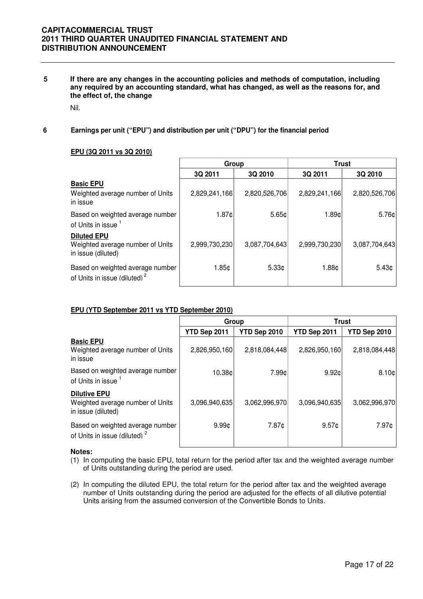**5 If there are any changes in the accounting policies and methods of computation, including any required by an accounting standard, what has changed, as well as the reasons for, and the effect of, the change** 

Nil.

**6 Earnings per unit ("EPU") and distribution per unit ("DPU") for the financial period**

# **EPU (3Q 2011 vs 3Q 2010)**

|                                                                              | Group         |                   |                   | <b>Trust</b>      |  |
|------------------------------------------------------------------------------|---------------|-------------------|-------------------|-------------------|--|
|                                                                              | 3Q 2011       | 3Q 2010           | 3Q 2011           | 3Q 2010           |  |
| <b>Basic EPU</b><br>Weighted average number of Units<br>in issue             | 2,829,241,166 | 2,820,526,706     | 2,829,241,166     | 2,820,526,706     |  |
| Based on weighted average number<br>of Units in issue 1                      | 1.87c         | $5.65 \circ$      | 1.89¢             | 5.76 <sub>¢</sub> |  |
| <b>Diluted EPU</b><br>Weighted average number of Units<br>in issue (diluted) | 2,999,730,230 | 3,087,704,643     | 2,999,730,230     | 3,087,704,643     |  |
| Based on weighted average number<br>of Units in issue (diluted) <sup>2</sup> | 1.85c         | 5.33 <sub>¢</sub> | 1.88 <sub>¢</sub> | 5.43 <sub>¢</sub> |  |

#### **EPU (YTD September 2011 vs YTD September 2010)**

|                                                                               | Group             |               | <b>Trust</b>  |                   |
|-------------------------------------------------------------------------------|-------------------|---------------|---------------|-------------------|
|                                                                               | YTD Sep 2011      | YTD Sep 2010  | YTD Sep 2011  | YTD Sep 2010      |
| <b>Basic EPU</b><br>Weighted average number of Units<br>in issue              | 2,826,950,160     | 2,818,084,448 | 2,826,950,160 | 2,818,084,448     |
| Based on weighted average number<br>of Units in issue <sup>1</sup>            | 10.38¢            | 7.99¢         | 9.92c         | 8.10 <sub>¢</sub> |
| <b>Dilutive EPU</b><br>Weighted average number of Units<br>in issue (diluted) | 3,096,940,635     | 3,062,996,970 | 3,096,940,635 | 3,062,996,970     |
| Based on weighted average number<br>of Units in issue (diluted) <sup>2</sup>  | 9.99 <sub>0</sub> | 7.87¢         | $9.57$ ¢      | 7.97¢             |

#### **Notes:**

- (1) In computing the basic EPU, total return for the period after tax and the weighted average number of Units outstanding during the period are used.
- (2) In computing the diluted EPU, the total return for the period after tax and the weighted average number of Units outstanding during the period are adjusted for the effects of all dilutive potential Units arising from the assumed conversion of the Convertible Bonds to Units.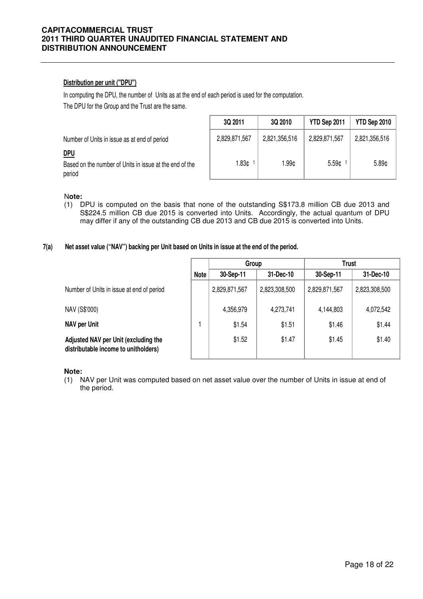# **Distribution per unit ("DPU")**

In computing the DPU, the number of Units as at the end of each period is used for the computation. The DPU for the Group and the Trust are the same.

|                                                                                 | 3Q 2011       | 3Q 2010       | YTD Sep 2011      | YTD Sep 2010      |
|---------------------------------------------------------------------------------|---------------|---------------|-------------------|-------------------|
| Number of Units in issue as at end of period                                    | 2,829,871,567 | 2,821,356,516 | 2,829,871,567     | 2,821,356,516     |
| <u>DPU</u><br>Based on the number of Units in issue at the end of the<br>period | 1.83¢         | l.99¢         | 5.59 <sub>¢</sub> | 5.89 <sub>¢</sub> |

#### N**ote:**

(1) DPU is computed on the basis that none of the outstanding S\$173.8 million CB due 2013 and S\$224.5 million CB due 2015 is converted into Units. Accordingly, the actual quantum of DPU may differ if any of the outstanding CB due 2013 and CB due 2015 is converted into Units.

#### **7(a) Net asset value ("NAV") backing per Unit based on Units in issue at the end of the period.**

|                                                                              |             | Group         |               | Trust         |               |
|------------------------------------------------------------------------------|-------------|---------------|---------------|---------------|---------------|
|                                                                              | <b>Note</b> | 30-Sep-11     | 31-Dec-10     | 30-Sep-11     | 31-Dec-10     |
| Number of Units in issue at end of period                                    |             | 2,829,871,567 | 2,823,308,500 | 2,829,871,567 | 2,823,308,500 |
| NAV (S\$'000)                                                                |             | 4,356,979     | 4,273,741     | 4,144,803     | 4,072,542     |
| <b>NAV per Unit</b>                                                          |             | \$1.54        | \$1.51        | \$1.46        | \$1.44        |
| Adjusted NAV per Unit (excluding the<br>distributable income to unitholders) |             | \$1.52        | \$1.47        | \$1.45        | \$1.40        |

**Note:**

(1) NAV per Unit was computed based on net asset value over the number of Units in issue at end of the period.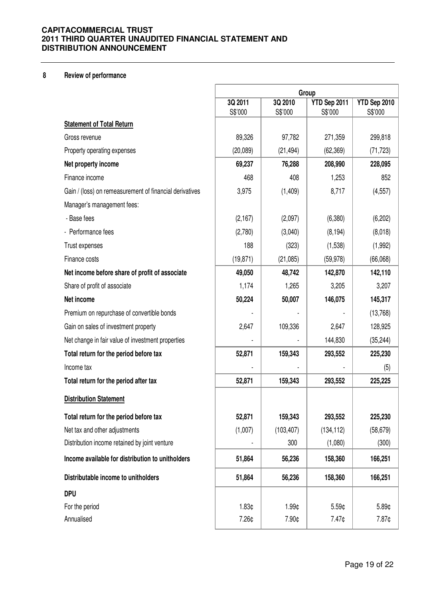# **8 Review of performance**

|                                                         | Group              |                    |                         |                         |  |
|---------------------------------------------------------|--------------------|--------------------|-------------------------|-------------------------|--|
|                                                         | 3Q 2011<br>S\$'000 | 3Q 2010<br>S\$'000 | YTD Sep 2011<br>S\$'000 | YTD Sep 2010<br>S\$'000 |  |
| <b>Statement of Total Return</b>                        |                    |                    |                         |                         |  |
| Gross revenue                                           | 89,326             | 97,782             | 271,359                 | 299,818                 |  |
| Property operating expenses                             | (20, 089)          | (21, 494)          | (62, 369)               | (71, 723)               |  |
| Net property income                                     | 69,237             | 76,288             | 208,990                 | 228,095                 |  |
| Finance income                                          | 468                | 408                | 1,253                   | 852                     |  |
| Gain / (loss) on remeasurement of financial derivatives | 3,975              | (1,409)            | 8,717                   | (4, 557)                |  |
| Manager's management fees:                              |                    |                    |                         |                         |  |
| - Base fees                                             | (2, 167)           | (2,097)            | (6,380)                 | (6,202)                 |  |
| - Performance fees                                      | (2,780)            | (3,040)            | (8, 194)                | (8,018)                 |  |
| Trust expenses                                          | 188                | (323)              | (1,538)                 | (1,992)                 |  |
| Finance costs                                           | (19, 871)          | (21,085)           | (59, 978)               | (66,068)                |  |
| Net income before share of profit of associate          | 49,050             | 48,742             | 142,870                 | 142,110                 |  |
| Share of profit of associate                            | 1,174              | 1,265              | 3,205                   | 3,207                   |  |
| Net income                                              | 50,224             | 50,007             | 146,075                 | 145,317                 |  |
| Premium on repurchase of convertible bonds              |                    |                    |                         | (13,768)                |  |
| Gain on sales of investment property                    | 2,647              | 109,336            | 2,647                   | 128,925                 |  |
| Net change in fair value of investment properties       |                    |                    | 144,830                 | (35, 244)               |  |
| Total return for the period before tax                  | 52,871             | 159,343            | 293,552                 | 225,230                 |  |
| Income tax                                              |                    |                    |                         | (5)                     |  |
| Total return for the period after tax                   | 52,871             | 159,343            | 293,552                 | 225,225                 |  |
| <b>Distribution Statement</b>                           |                    |                    |                         |                         |  |
| Total return for the period before tax                  | 52,871             | 159,343            | 293,552                 | 225,230                 |  |
| Net tax and other adjustments                           | (1,007)            | (103, 407)         | (134, 112)              | (58, 679)               |  |
| Distribution income retained by joint venture           |                    | 300                | (1,080)                 | (300)                   |  |
| Income available for distribution to unitholders        | 51,864             | 56,236             | 158,360                 | 166,251                 |  |
| Distributable income to unitholders                     | 51,864             | 56,236             | 158,360                 | 166,251                 |  |
| <b>DPU</b>                                              |                    |                    |                         |                         |  |
| For the period                                          | 1.83¢              | 1.99¢              | 5.59¢                   | 5.89¢                   |  |
| Annualised                                              | 7.26¢              | 7.90¢              | 7.47¢                   | 7.87¢                   |  |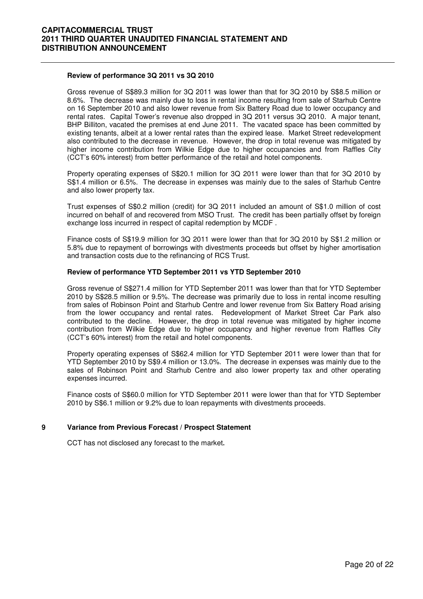#### **Review of performance 3Q 2011 vs 3Q 2010**

 Gross revenue of S\$89.3 million for 3Q 2011 was lower than that for 3Q 2010 by S\$8.5 million or 8.6%. The decrease was mainly due to loss in rental income resulting from sale of Starhub Centre on 16 September 2010 and also lower revenue from Six Battery Road due to lower occupancy and rental rates. Capital Tower's revenue also dropped in 3Q 2011 versus 3Q 2010. A major tenant, BHP Billiton, vacated the premises at end June 2011. The vacated space has been committed by existing tenants, albeit at a lower rental rates than the expired lease. Market Street redevelopment also contributed to the decrease in revenue. However, the drop in total revenue was mitigated by higher income contribution from Wilkie Edge due to higher occupancies and from Raffles City (CCT's 60% interest) from better performance of the retail and hotel components.

Property operating expenses of S\$20.1 million for 3Q 2011 were lower than that for 3Q 2010 by S\$1.4 million or 6.5%. The decrease in expenses was mainly due to the sales of Starhub Centre and also lower property tax.

Trust expenses of S\$0.2 million (credit) for 3Q 2011 included an amount of S\$1.0 million of cost incurred on behalf of and recovered from MSO Trust. The credit has been partially offset by foreign exchange loss incurred in respect of capital redemption by MCDF .

Finance costs of S\$19.9 million for 3Q 2011 were lower than that for 3Q 2010 by S\$1.2 million or 5.8% due to repayment of borrowings with divestments proceeds but offset by higher amortisation and transaction costs due to the refinancing of RCS Trust.

#### **Review of performance YTD September 2011 vs YTD September 2010**

Gross revenue of S\$271.4 million for YTD September 2011 was lower than that for YTD September 2010 by S\$28.5 million or 9.5%. The decrease was primarily due to loss in rental income resulting from sales of Robinson Point and Starhub Centre and lower revenue from Six Battery Road arising from the lower occupancy and rental rates. Redevelopment of Market Street Car Park also contributed to the decline. However, the drop in total revenue was mitigated by higher income contribution from Wilkie Edge due to higher occupancy and higher revenue from Raffles City (CCT's 60% interest) from the retail and hotel components.

Property operating expenses of S\$62.4 million for YTD September 2011 were lower than that for YTD September 2010 by S\$9.4 million or 13.0%. The decrease in expenses was mainly due to the sales of Robinson Point and Starhub Centre and also lower property tax and other operating expenses incurred.

Finance costs of S\$60.0 million for YTD September 2011 were lower than that for YTD September 2010 by S\$6.1 million or 9.2% due to loan repayments with divestments proceeds.

#### **9 Variance from Previous Forecast / Prospect Statement**

CCT has not disclosed any forecast to the market**.**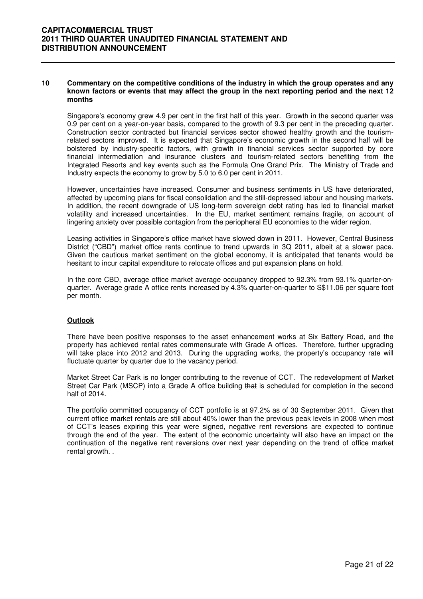#### **10 Commentary on the competitive conditions of the industry in which the group operates and any known factors or events that may affect the group in the next reporting period and the next 12 months**

Singapore's economy grew 4.9 per cent in the first half of this year. Growth in the second quarter was 0.9 per cent on a year-on-year basis, compared to the growth of 9.3 per cent in the preceding quarter. Construction sector contracted but financial services sector showed healthy growth and the tourismrelated sectors improved. It is expected that Singapore's economic growth in the second half will be bolstered by industry-specific factors, with growth in financial services sector supported by core financial intermediation and insurance clusters and tourism-related sectors benefiting from the Integrated Resorts and key events such as the Formula One Grand Prix. The Ministry of Trade and Industry expects the economy to grow by 5.0 to 6.0 per cent in 2011.

However, uncertainties have increased. Consumer and business sentiments in US have deteriorated, affected by upcoming plans for fiscal consolidation and the still-depressed labour and housing markets. In addition, the recent downgrade of US long-term sovereign debt rating has led to financial market volatility and increased uncertainties. In the EU, market sentiment remains fragile, on account of lingering anxiety over possible contagion from the periopheral EU economies to the wider region.

Leasing activities in Singapore's office market have slowed down in 2011. However, Central Business District ("CBD") market office rents continue to trend upwards in 3Q 2011, albeit at a slower pace. Given the cautious market sentiment on the global economy, it is anticipated that tenants would be hesitant to incur capital expenditure to relocate offices and put expansion plans on hold.

In the core CBD, average office market average occupancy dropped to 92.3% from 93.1% quarter-onquarter. Average grade A office rents increased by 4.3% quarter-on-quarter to S\$11.06 per square foot per month.

#### **Outlook**

There have been positive responses to the asset enhancement works at Six Battery Road, and the property has achieved rental rates commensurate with Grade A offices. Therefore, further upgrading will take place into 2012 and 2013. During the upgrading works, the property's occupancy rate will fluctuate quarter by quarter due to the vacancy period.

Market Street Car Park is no longer contributing to the revenue of CCT. The redevelopment of Market Street Car Park (MSCP) into a Grade A office building that is scheduled for completion in the second half of 2014.

The portfolio committed occupancy of CCT portfolio is at 97.2% as of 30 September 2011. Given that current office market rentals are still about 40% lower than the previous peak levels in 2008 when most of CCT's leases expiring this year were signed, negative rent reversions are expected to continue through the end of the year. The extent of the economic uncertainty will also have an impact on the continuation of the negative rent reversions over next year depending on the trend of office market rental growth. .